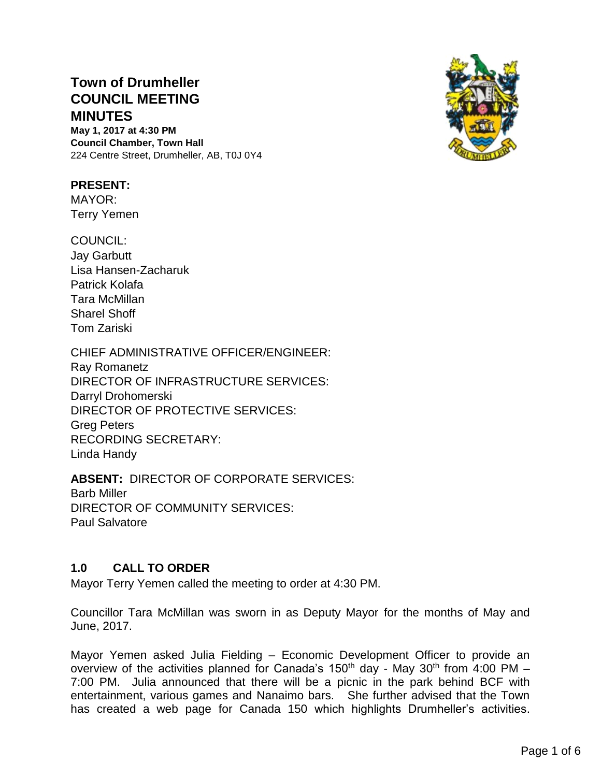# **Town of Drumheller COUNCIL MEETING MINUTES**

**May 1, 2017 at 4:30 PM Council Chamber, Town Hall** 224 Centre Street, Drumheller, AB, T0J 0Y4

#### **PRESENT:**

MAYOR: Terry Yemen

COUNCIL: Jay Garbutt Lisa Hansen-Zacharuk Patrick Kolafa Tara McMillan Sharel Shoff Tom Zariski

CHIEF ADMINISTRATIVE OFFICER/ENGINEER: Ray Romanetz DIRECTOR OF INFRASTRUCTURE SERVICES: Darryl Drohomerski DIRECTOR OF PROTECTIVE SERVICES: Greg Peters RECORDING SECRETARY: Linda Handy

**ABSENT:** DIRECTOR OF CORPORATE SERVICES: Barb Miller DIRECTOR OF COMMUNITY SERVICES: Paul Salvatore

# **1.0 CALL TO ORDER**

Mayor Terry Yemen called the meeting to order at 4:30 PM.

Councillor Tara McMillan was sworn in as Deputy Mayor for the months of May and June, 2017.

Mayor Yemen asked Julia Fielding – Economic Development Officer to provide an overview of the activities planned for Canada's 150<sup>th</sup> day - May 30<sup>th</sup> from 4:00 PM -7:00 PM. Julia announced that there will be a picnic in the park behind BCF with entertainment, various games and Nanaimo bars. She further advised that the Town has created a web page for Canada 150 which highlights Drumheller's activities.

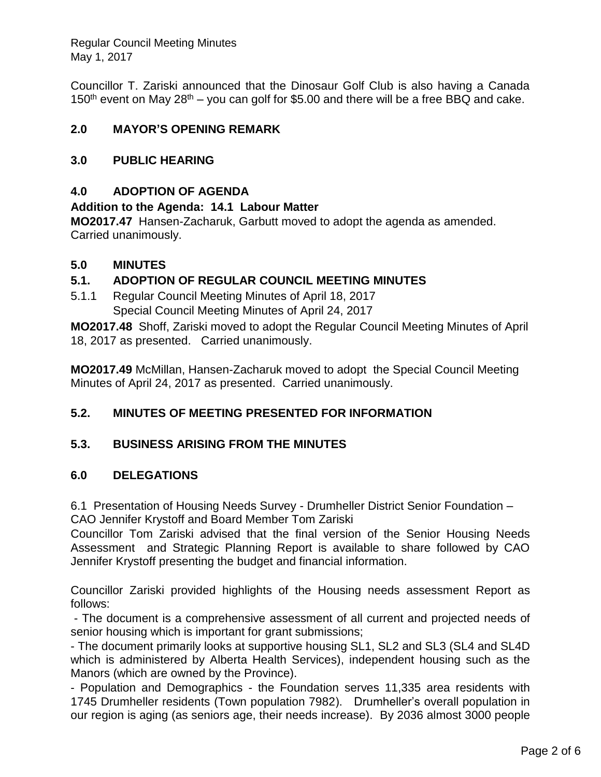Councillor T. Zariski announced that the Dinosaur Golf Club is also having a Canada 150<sup>th</sup> event on May 28<sup>th</sup> – you can golf for \$5.00 and there will be a free BBQ and cake.

# **2.0 MAYOR'S OPENING REMARK**

## **3.0 PUBLIC HEARING**

## **4.0 ADOPTION OF AGENDA**

#### **Addition to the Agenda: 14.1 Labour Matter**

**MO2017.47** Hansen-Zacharuk, Garbutt moved to adopt the agenda as amended. Carried unanimously.

#### **5.0 MINUTES**

## **5.1. ADOPTION OF REGULAR COUNCIL MEETING MINUTES**

5.1.1 Regular Council Meeting Minutes of April 18, 2017 Special Council Meeting Minutes of April 24, 2017

**MO2017.48** Shoff, Zariski moved to adopt the Regular Council Meeting Minutes of April 18, 2017 as presented. Carried unanimously.

**MO2017.49** McMillan, Hansen-Zacharuk moved to adopt the Special Council Meeting Minutes of April 24, 2017 as presented. Carried unanimously.

# **5.2. MINUTES OF MEETING PRESENTED FOR INFORMATION**

#### **5.3. BUSINESS ARISING FROM THE MINUTES**

#### **6.0 DELEGATIONS**

6.1 Presentation of Housing Needs Survey - Drumheller District Senior Foundation – CAO Jennifer Krystoff and Board Member Tom Zariski

Councillor Tom Zariski advised that the final version of the Senior Housing Needs Assessment and Strategic Planning Report is available to share followed by CAO Jennifer Krystoff presenting the budget and financial information.

Councillor Zariski provided highlights of the Housing needs assessment Report as follows:

- The document is a comprehensive assessment of all current and projected needs of senior housing which is important for grant submissions;

- The document primarily looks at supportive housing SL1, SL2 and SL3 (SL4 and SL4D which is administered by Alberta Health Services), independent housing such as the Manors (which are owned by the Province).

- Population and Demographics - the Foundation serves 11,335 area residents with 1745 Drumheller residents (Town population 7982). Drumheller's overall population in our region is aging (as seniors age, their needs increase). By 2036 almost 3000 people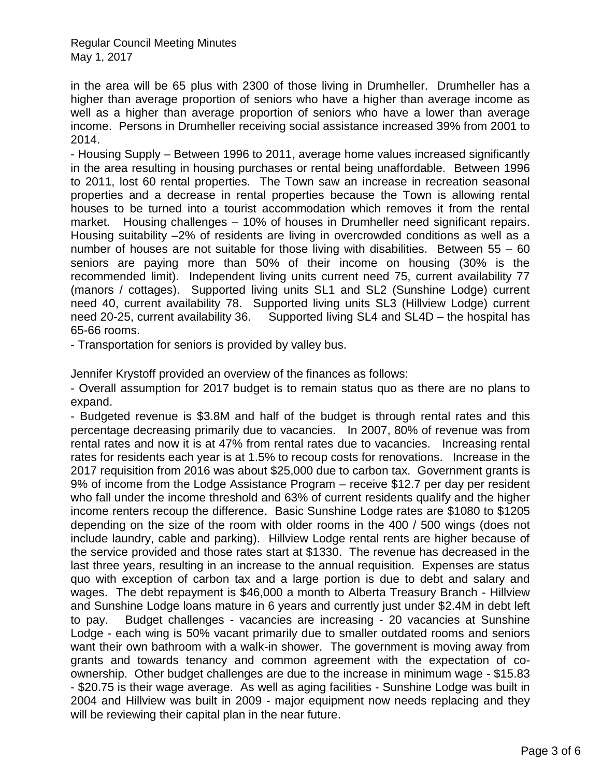in the area will be 65 plus with 2300 of those living in Drumheller. Drumheller has a higher than average proportion of seniors who have a higher than average income as well as a higher than average proportion of seniors who have a lower than average income. Persons in Drumheller receiving social assistance increased 39% from 2001 to 2014.

- Housing Supply – Between 1996 to 2011, average home values increased significantly in the area resulting in housing purchases or rental being unaffordable. Between 1996 to 2011, lost 60 rental properties. The Town saw an increase in recreation seasonal properties and a decrease in rental properties because the Town is allowing rental houses to be turned into a tourist accommodation which removes it from the rental market. Housing challenges – 10% of houses in Drumheller need significant repairs. Housing suitability –2% of residents are living in overcrowded conditions as well as a number of houses are not suitable for those living with disabilities. Between 55 – 60 seniors are paying more than 50% of their income on housing (30% is the recommended limit). Independent living units current need 75, current availability 77 (manors / cottages). Supported living units SL1 and SL2 (Sunshine Lodge) current need 40, current availability 78. Supported living units SL3 (Hillview Lodge) current need 20-25, current availability 36. Supported living SL4 and SL4D – the hospital has 65-66 rooms.

- Transportation for seniors is provided by valley bus.

Jennifer Krystoff provided an overview of the finances as follows:

- Overall assumption for 2017 budget is to remain status quo as there are no plans to expand.

- Budgeted revenue is \$3.8M and half of the budget is through rental rates and this percentage decreasing primarily due to vacancies. In 2007, 80% of revenue was from rental rates and now it is at 47% from rental rates due to vacancies. Increasing rental rates for residents each year is at 1.5% to recoup costs for renovations. Increase in the 2017 requisition from 2016 was about \$25,000 due to carbon tax. Government grants is 9% of income from the Lodge Assistance Program – receive \$12.7 per day per resident who fall under the income threshold and 63% of current residents qualify and the higher income renters recoup the difference. Basic Sunshine Lodge rates are \$1080 to \$1205 depending on the size of the room with older rooms in the 400 / 500 wings (does not include laundry, cable and parking). Hillview Lodge rental rents are higher because of the service provided and those rates start at \$1330. The revenue has decreased in the last three years, resulting in an increase to the annual requisition. Expenses are status quo with exception of carbon tax and a large portion is due to debt and salary and wages. The debt repayment is \$46,000 a month to Alberta Treasury Branch - Hillview and Sunshine Lodge loans mature in 6 years and currently just under \$2.4M in debt left to pay. Budget challenges - vacancies are increasing - 20 vacancies at Sunshine Lodge - each wing is 50% vacant primarily due to smaller outdated rooms and seniors want their own bathroom with a walk-in shower. The government is moving away from grants and towards tenancy and common agreement with the expectation of coownership. Other budget challenges are due to the increase in minimum wage - \$15.83 - \$20.75 is their wage average. As well as aging facilities - Sunshine Lodge was built in 2004 and Hillview was built in 2009 - major equipment now needs replacing and they will be reviewing their capital plan in the near future.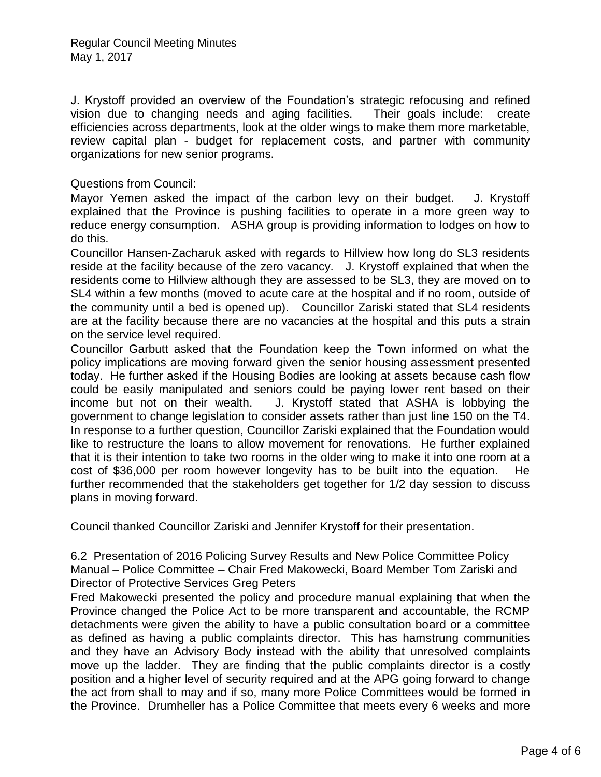J. Krystoff provided an overview of the Foundation's strategic refocusing and refined vision due to changing needs and aging facilities. Their goals include: create efficiencies across departments, look at the older wings to make them more marketable, review capital plan - budget for replacement costs, and partner with community organizations for new senior programs.

Questions from Council:

Mayor Yemen asked the impact of the carbon levy on their budget. J. Krystoff explained that the Province is pushing facilities to operate in a more green way to reduce energy consumption. ASHA group is providing information to lodges on how to do this.

Councillor Hansen-Zacharuk asked with regards to Hillview how long do SL3 residents reside at the facility because of the zero vacancy. J. Krystoff explained that when the residents come to Hillview although they are assessed to be SL3, they are moved on to SL4 within a few months (moved to acute care at the hospital and if no room, outside of the community until a bed is opened up). Councillor Zariski stated that SL4 residents are at the facility because there are no vacancies at the hospital and this puts a strain on the service level required.

Councillor Garbutt asked that the Foundation keep the Town informed on what the policy implications are moving forward given the senior housing assessment presented today. He further asked if the Housing Bodies are looking at assets because cash flow could be easily manipulated and seniors could be paying lower rent based on their income but not on their wealth. J. Krystoff stated that ASHA is lobbying the government to change legislation to consider assets rather than just line 150 on the T4. In response to a further question, Councillor Zariski explained that the Foundation would like to restructure the loans to allow movement for renovations. He further explained that it is their intention to take two rooms in the older wing to make it into one room at a cost of \$36,000 per room however longevity has to be built into the equation. He further recommended that the stakeholders get together for 1/2 day session to discuss plans in moving forward.

Council thanked Councillor Zariski and Jennifer Krystoff for their presentation.

6.2 Presentation of 2016 Policing Survey Results and New Police Committee Policy Manual – Police Committee – Chair Fred Makowecki, Board Member Tom Zariski and Director of Protective Services Greg Peters

Fred Makowecki presented the policy and procedure manual explaining that when the Province changed the Police Act to be more transparent and accountable, the RCMP detachments were given the ability to have a public consultation board or a committee as defined as having a public complaints director. This has hamstrung communities and they have an Advisory Body instead with the ability that unresolved complaints move up the ladder. They are finding that the public complaints director is a costly position and a higher level of security required and at the APG going forward to change the act from shall to may and if so, many more Police Committees would be formed in the Province. Drumheller has a Police Committee that meets every 6 weeks and more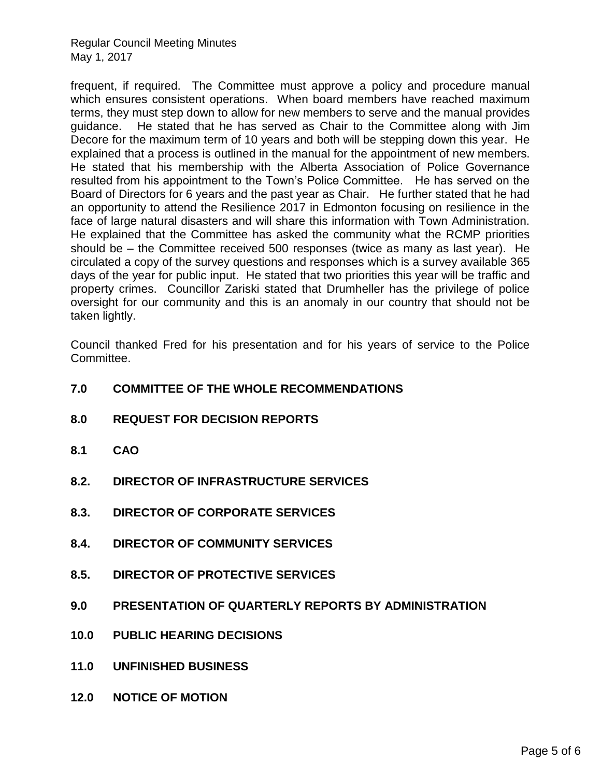frequent, if required. The Committee must approve a policy and procedure manual which ensures consistent operations. When board members have reached maximum terms, they must step down to allow for new members to serve and the manual provides guidance. He stated that he has served as Chair to the Committee along with Jim Decore for the maximum term of 10 years and both will be stepping down this year. He explained that a process is outlined in the manual for the appointment of new members. He stated that his membership with the Alberta Association of Police Governance resulted from his appointment to the Town's Police Committee. He has served on the Board of Directors for 6 years and the past year as Chair. He further stated that he had an opportunity to attend the Resilience 2017 in Edmonton focusing on resilience in the face of large natural disasters and will share this information with Town Administration. He explained that the Committee has asked the community what the RCMP priorities should be – the Committee received 500 responses (twice as many as last year). He circulated a copy of the survey questions and responses which is a survey available 365 days of the year for public input. He stated that two priorities this year will be traffic and property crimes. Councillor Zariski stated that Drumheller has the privilege of police oversight for our community and this is an anomaly in our country that should not be taken lightly.

Council thanked Fred for his presentation and for his years of service to the Police Committee.

- **7.0 COMMITTEE OF THE WHOLE RECOMMENDATIONS 8.0 REQUEST FOR DECISION REPORTS 8.1 CAO 8.2. DIRECTOR OF INFRASTRUCTURE SERVICES 8.3. DIRECTOR OF CORPORATE SERVICES 8.4. DIRECTOR OF COMMUNITY SERVICES 8.5. DIRECTOR OF PROTECTIVE SERVICES**
- **9.0 PRESENTATION OF QUARTERLY REPORTS BY ADMINISTRATION**
- **10.0 PUBLIC HEARING DECISIONS**
- **11.0 UNFINISHED BUSINESS**
- **12.0 NOTICE OF MOTION**